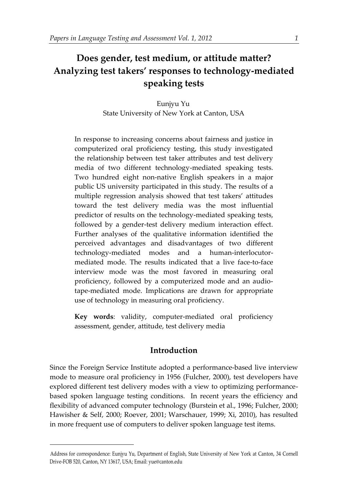# **Does gender, test medium, or attitude matter? Analyzing test takers' responses to technology-mediated speaking tests**

Eunjyu Yu State University of New York at Canton, USA

In response to increasing concerns about fairness and justice in computerized oral proficiency testing, this study investigated the relationship between test taker attributes and test delivery media of two different technology-mediated speaking tests. Two hundred eight non-native English speakers in a major public US university participated in this study. The results of a multiple regression analysis showed that test takers' attitudes toward the test delivery media was the most influential predictor of results on the technology-mediated speaking tests, followed by a gender-test delivery medium interaction effect. Further analyses of the qualitative information identified the perceived advantages and disadvantages of two different technology-mediated modes and a human-interlocutormediated mode. The results indicated that a live face-to-face interview mode was the most favored in measuring oral proficiency, followed by a computerized mode and an audiotape-mediated mode. Implications are drawn for appropriate use of technology in measuring oral proficiency.

**Key words**: validity, computer-mediated oral proficiency assessment, gender, attitude, test delivery media

# **Introduction**

Since the Foreign Service Institute adopted a performance-based live interview mode to measure oral proficiency in 1956 (Fulcher, 2000), test developers have explored different test delivery modes with a view to optimizing performancebased spoken language testing conditions. In recent years the efficiency and flexibility of advanced computer technology (Burstein et al., 1996; Fulcher, 2000; Hawisher & Self, 2000; Roever, 2001; Warschauer, 1999; Xi, 2010), has resulted in more frequent use of computers to deliver spoken language test items.

<u>.</u>

Address for correspondence: Eunjyu Yu, Department of English, State University of New York at Canton, 34 Cornell Drive-FOB 520, Canton, NY 13617, USA; Email: yue@canton.edu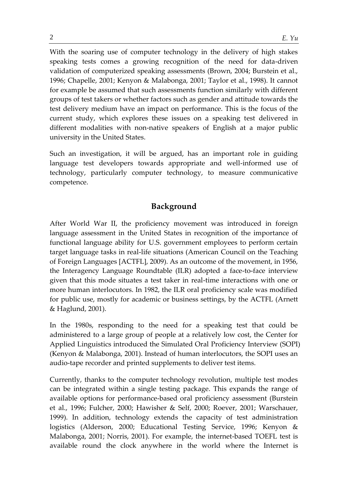With the soaring use of computer technology in the delivery of high stakes speaking tests comes a growing recognition of the need for data-driven validation of computerized speaking assessments (Brown, 2004; Burstein et al., 1996; Chapelle, 2001; Kenyon & Malabonga, 2001; Taylor et al., 1998). It cannot for example be assumed that such assessments function similarly with different groups of test takers or whether factors such as gender and attitude towards the test delivery medium have an impact on performance. This is the focus of the current study, which explores these issues on a speaking test delivered in different modalities with non-native speakers of English at a major public university in the United States.

Such an investigation, it will be argued, has an important role in guiding language test developers towards appropriate and well-informed use of technology, particularly computer technology, to measure communicative competence.

# **Background**

After World War II, the proficiency movement was introduced in foreign language assessment in the United States in recognition of the importance of functional language ability for U.S. government employees to perform certain target language tasks in real-life situations (American Council on the Teaching of Foreign Languages [ACTFL], 2009). As an outcome of the movement, in 1956, the Interagency Language Roundtable (ILR) adopted a face-to-face interview given that this mode situates a test taker in real-time interactions with one or more human interlocutors. In 1982, the ILR oral proficiency scale was modified for public use, mostly for academic or business settings, by the ACTFL (Arnett & Haglund, 2001).

In the 1980s, responding to the need for a speaking test that could be administered to a large group of people at a relatively low cost, the Center for Applied Linguistics introduced the Simulated Oral Proficiency Interview (SOPI) (Kenyon & Malabonga, 2001). Instead of human interlocutors, the SOPI uses an audio-tape recorder and printed supplements to deliver test items.

Currently, thanks to the computer technology revolution, multiple test modes can be integrated within a single testing package. This expands the range of available options for performance-based oral proficiency assessment (Burstein et al., 1996; Fulcher, 2000; Hawisher & Self, 2000; Roever, 2001; Warschauer, 1999). In addition, technology extends the capacity of test administration logistics (Alderson, 2000; Educational Testing Service, 1996; Kenyon & Malabonga, 2001; Norris, 2001). For example, the internet-based TOEFL test is available round the clock anywhere in the world where the Internet is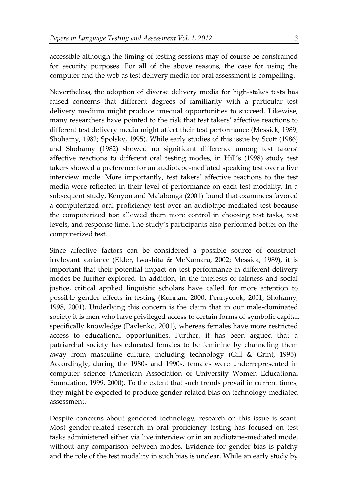accessible although the timing of testing sessions may of course be constrained for security purposes. For all of the above reasons, the case for using the computer and the web as test delivery media for oral assessment is compelling.

Nevertheless, the adoption of diverse delivery media for high-stakes tests has raised concerns that different degrees of familiarity with a particular test delivery medium might produce unequal opportunities to succeed. Likewise, many researchers have pointed to the risk that test takers' affective reactions to different test delivery media might affect their test performance (Messick, 1989; Shohamy, 1982; Spolsky, 1995). While early studies of this issue by Scott (1986) and Shohamy (1982) showed no significant difference among test takers' affective reactions to different oral testing modes, in Hill's (1998) study test takers showed a preference for an audiotape-mediated speaking test over a live interview mode. More importantly, test takers' affective reactions to the test media were reflected in their level of performance on each test modality. In a subsequent study, Kenyon and Malabonga (2001) found that examinees favored a computerized oral proficiency test over an audiotape-mediated test because the computerized test allowed them more control in choosing test tasks, test levels, and response time. The study's participants also performed better on the computerized test.

Since affective factors can be considered a possible source of constructirrelevant variance (Elder, Iwashita & McNamara, 2002; Messick, 1989), it is important that their potential impact on test performance in different delivery modes be further explored. In addition, in the interests of fairness and social justice, critical applied linguistic scholars have called for more attention to possible gender effects in testing (Kunnan, 2000; Pennycook, 2001; Shohamy, 1998, 2001). Underlying this concern is the claim that in our male-dominated society it is men who have privileged access to certain forms of symbolic capital, specifically knowledge (Pavlenko, 2001), whereas females have more restricted access to educational opportunities. Further, it has been argued that a patriarchal society has educated females to be feminine by channeling them away from masculine culture, including technology (Gill & Grint, 1995). Accordingly, during the 1980s and 1990s, females were underrepresented in computer science (American Association of University Women Educational Foundation, 1999, 2000). To the extent that such trends prevail in current times, they might be expected to produce gender-related bias on technology-mediated assessment.

Despite concerns about gendered technology, research on this issue is scant. Most gender-related research in oral proficiency testing has focused on test tasks administered either via live interview or in an audiotape-mediated mode, without any comparison between modes. Evidence for gender bias is patchy and the role of the test modality in such bias is unclear. While an early study by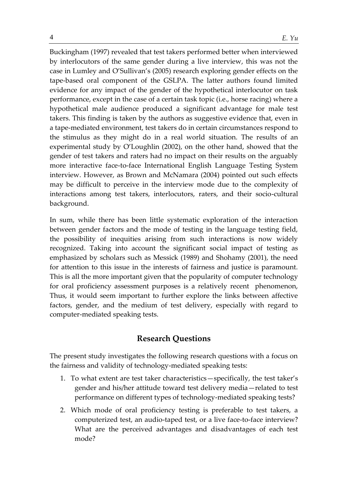Buckingham (1997) revealed that test takers performed better when interviewed by interlocutors of the same gender during a live interview, this was not the case in Lumley and O'Sullivan's (2005) research exploring gender effects on the tape-based oral component of the GSLPA. The latter authors found limited evidence for any impact of the gender of the hypothetical interlocutor on task performance, except in the case of a certain task topic (i.e., horse racing) where a hypothetical male audience produced a significant advantage for male test takers. This finding is taken by the authors as suggestive evidence that, even in a tape-mediated environment, test takers do in certain circumstances respond to the stimulus as they might do in a real world situation. The results of an experimental study by O'Loughlin (2002), on the other hand, showed that the gender of test takers and raters had no impact on their results on the arguably more interactive face-to-face International English Language Testing System interview. However, as Brown and McNamara (2004) pointed out such effects may be difficult to perceive in the interview mode due to the complexity of interactions among test takers, interlocutors, raters, and their socio-cultural background.

In sum, while there has been little systematic exploration of the interaction between gender factors and the mode of testing in the language testing field, the possibility of inequities arising from such interactions is now widely recognized. Taking into account the significant social impact of testing as emphasized by scholars such as Messick (1989) and Shohamy (2001), the need for attention to this issue in the interests of fairness and justice is paramount. This is all the more important given that the popularity of computer technology for oral proficiency assessment purposes is a relatively recent phenomenon, Thus, it would seem important to further explore the links between affective factors, gender, and the medium of test delivery, especially with regard to computer-mediated speaking tests.

# **Research Questions**

The present study investigates the following research questions with a focus on the fairness and validity of technology-mediated speaking tests:

- 1. To what extent are test taker characteristics—specifically, the test taker's gender and his/her attitude toward test delivery media—related to test performance on different types of technology-mediated speaking tests?
- 2. Which mode of oral proficiency testing is preferable to test takers, a computerized test, an audio-taped test, or a live face-to-face interview? What are the perceived advantages and disadvantages of each test mode?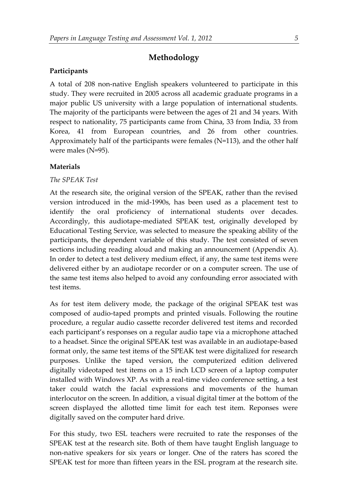# **Methodology**

### **Participants**

A total of 208 non-native English speakers volunteered to participate in this study. They were recruited in 2005 across all academic graduate programs in a major public US university with a large population of international students. The majority of the participants were between the ages of 21 and 34 years. With respect to nationality, 75 participants came from China, 33 from India, 33 from Korea, 41 from European countries, and 26 from other countries. Approximately half of the participants were females (N=113), and the other half were males (N=95).

# **Materials**

### *The SPEAK Test*

At the research site, the original version of the SPEAK, rather than the revised version introduced in the mid-1990s, has been used as a placement test to identify the oral proficiency of international students over decades. Accordingly, this audiotape-mediated SPEAK test, originally developed by Educational Testing Service, was selected to measure the speaking ability of the participants, the dependent variable of this study. The test consisted of seven sections including reading aloud and making an announcement (Appendix A). In order to detect a test delivery medium effect, if any, the same test items were delivered either by an audiotape recorder or on a computer screen. The use of the same test items also helped to avoid any confounding error associated with test items.

As for test item delivery mode, the package of the original SPEAK test was composed of audio-taped prompts and printed visuals. Following the routine procedure, a regular audio cassette recorder delivered test items and recorded each participant's responses on a regular audio tape via a microphone attached to a headset. Since the original SPEAK test was available in an audiotape-based format only, the same test items of the SPEAK test were digitalized for research purposes. Unlike the taped version, the computerized edition delivered digitally videotaped test items on a 15 inch LCD screen of a laptop computer installed with Windows XP. As with a real-time video conference setting, a test taker could watch the facial expressions and movements of the human interlocutor on the screen. In addition, a visual digital timer at the bottom of the screen displayed the allotted time limit for each test item. Reponses were digitally saved on the computer hard drive.

For this study, two ESL teachers were recruited to rate the responses of the SPEAK test at the research site. Both of them have taught English language to non-native speakers for six years or longer. One of the raters has scored the SPEAK test for more than fifteen years in the ESL program at the research site.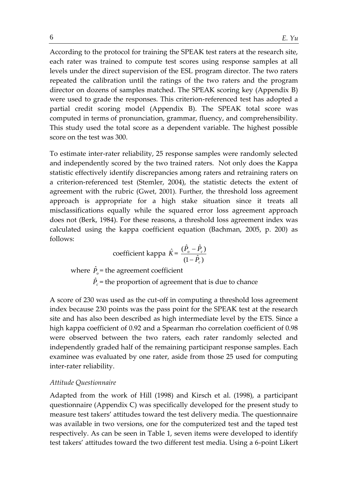According to the protocol for training the SPEAK test raters at the research site, each rater was trained to compute test scores using response samples at all levels under the direct supervision of the ESL program director. The two raters repeated the calibration until the ratings of the two raters and the program director on dozens of samples matched. The SPEAK scoring key (Appendix B) were used to grade the responses. This criterion-referenced test has adopted a partial credit scoring model (Appendix B). The SPEAK total score was computed in terms of pronunciation, grammar, fluency, and comprehensibility. This study used the total score as a dependent variable. The highest possible score on the test was 300.

To estimate inter-rater reliability, 25 response samples were randomly selected and independently scored by the two trained raters. Not only does the Kappa statistic effectively identify discrepancies among raters and retraining raters on a criterion-referenced test (Stemler, 2004), the statistic detects the extent of agreement with the rubric (Gwet, 2001). Further, the threshold loss agreement approach is appropriate for a high stake situation since it treats all misclassifications equally while the squared error loss agreement approach does not (Berk, 1984). For these reasons, a threshold loss agreement index was calculated using the kappa coefficient equation (Bachman, 2005, p. 200) as follows:

coefficient kappa 
$$
\hat{K} = \frac{(\hat{P}_o - \hat{P}_c)}{(1 - \hat{P}_c)}
$$

where  $\hat{P}_o$  = the agreement coefficient  $\hat{P}_c$  = the proportion of agreement that is due to chance

A score of 230 was used as the cut-off in computing a threshold loss agreement index because 230 points was the pass point for the SPEAK test at the research site and has also been described as high intermediate level by the ETS. Since a high kappa coefficient of 0.92 and a Spearman rho correlation coefficient of 0.98 were observed between the two raters, each rater randomly selected and independently graded half of the remaining participant response samples. Each examinee was evaluated by one rater, aside from those 25 used for computing inter-rater reliability.

### *Attitude Questionnaire*

Adapted from the work of Hill (1998) and Kirsch et al. (1998), a participant questionnaire (Appendix C) was specifically developed for the present study to measure test takers' attitudes toward the test delivery media. The questionnaire was available in two versions, one for the computerized test and the taped test respectively. As can be seen in Table 1, seven items were developed to identify test takers' attitudes toward the two different test media. Using a 6-point Likert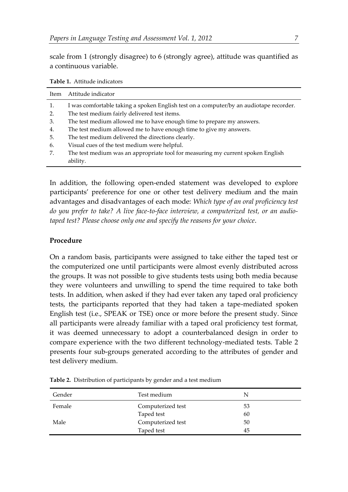scale from 1 (strongly disagree) to 6 (strongly agree), attitude was quantified as a continuous variable.

| Item     | Attitude indicator                                                                                                                     |
|----------|----------------------------------------------------------------------------------------------------------------------------------------|
| 1.<br>2. | I was comfortable taking a spoken English test on a computer/by an audiotape recorder.<br>The test medium fairly delivered test items. |
|          |                                                                                                                                        |
| 3.       | The test medium allowed me to have enough time to prepare my answers.                                                                  |
| 4.       | The test medium allowed me to have enough time to give my answers.                                                                     |
| 5.       | The test medium delivered the directions clearly.                                                                                      |
| 6.       | Visual cues of the test medium were helpful.                                                                                           |
| 7.       | The test medium was an appropriate tool for measuring my current spoken English                                                        |
|          | ability.                                                                                                                               |

**Table 1.** Attitude indicators

In addition, the following open-ended statement was developed to explore participants' preference for one or other test delivery medium and the main advantages and disadvantages of each mode: *Which type of an oral proficiency test do you prefer to take? A live face-to-face interview, a computerized test, or an audiotaped test? Please choose only one and specify the reasons for your choice*.

# **Procedure**

On a random basis, participants were assigned to take either the taped test or the computerized one until participants were almost evenly distributed across the groups. It was not possible to give students tests using both media because they were volunteers and unwilling to spend the time required to take both tests. In addition, when asked if they had ever taken any taped oral proficiency tests, the participants reported that they had taken a tape-mediated spoken English test (i.e., SPEAK or TSE) once or more before the present study. Since all participants were already familiar with a taped oral proficiency test format, it was deemed unnecessary to adopt a counterbalanced design in order to compare experience with the two different technology-mediated tests. Table 2 presents four sub-groups generated according to the attributes of gender and test delivery medium.

| Gender | Test medium       | N  |  |
|--------|-------------------|----|--|
| Female | Computerized test | 53 |  |
|        | Taped test        | 60 |  |
| Male   | Computerized test | 50 |  |
|        | Taped test        | 45 |  |

**Table 2.** Distribution of participants by gender and a test medium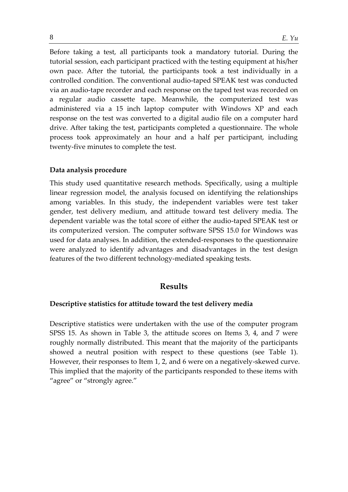Before taking a test, all participants took a mandatory tutorial. During the tutorial session, each participant practiced with the testing equipment at his/her own pace. After the tutorial, the participants took a test individually in a controlled condition. The conventional audio-taped SPEAK test was conducted via an audio-tape recorder and each response on the taped test was recorded on a regular audio cassette tape. Meanwhile, the computerized test was administered via a 15 inch laptop computer with Windows XP and each response on the test was converted to a digital audio file on a computer hard drive. After taking the test, participants completed a questionnaire. The whole process took approximately an hour and a half per participant, including twenty-five minutes to complete the test.

#### **Data analysis procedure**

This study used quantitative research methods. Specifically, using a multiple linear regression model, the analysis focused on identifying the relationships among variables. In this study, the independent variables were test taker gender, test delivery medium, and attitude toward test delivery media. The dependent variable was the total score of either the audio-taped SPEAK test or its computerized version. The computer software SPSS 15.0 for Windows was used for data analyses. In addition, the extended-responses to the questionnaire were analyzed to identify advantages and disadvantages in the test design features of the two different technology-mediated speaking tests.

### **Results**

#### **Descriptive statistics for attitude toward the test delivery media**

Descriptive statistics were undertaken with the use of the computer program SPSS 15. As shown in Table 3, the attitude scores on Items 3, 4, and 7 were roughly normally distributed. This meant that the majority of the participants showed a neutral position with respect to these questions (see Table 1). However, their responses to Item 1, 2, and 6 were on a negatively-skewed curve. This implied that the majority of the participants responded to these items with "agree" or "strongly agree."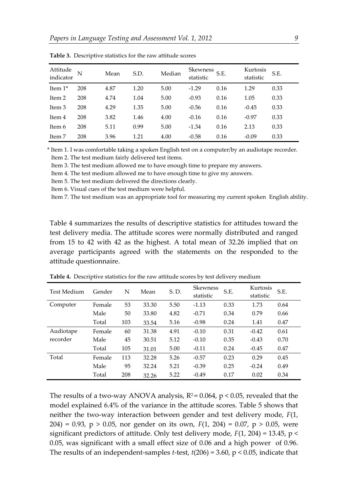| Attitude<br>indicator | N   | Mean | S.D. | Median | Skewness<br>statistic | S.E. | Kurtosis<br>statistic | S.E. |
|-----------------------|-----|------|------|--------|-----------------------|------|-----------------------|------|
| Item $1*$             | 208 | 4.87 | 1.20 | 5.00   | $-1.29$               | 0.16 | 1.29                  | 0.33 |
| Item 2                | 208 | 4.74 | 1.04 | 5.00   | $-0.93$               | 0.16 | 1.05                  | 0.33 |
| Item 3                | 208 | 4.29 | 1.35 | 5.00   | $-0.56$               | 0.16 | $-0.45$               | 0.33 |
| Item 4                | 208 | 3.82 | 1.46 | 4.00   | $-0.16$               | 0.16 | $-0.97$               | 0.33 |
| Item 6                | 208 | 5.11 | 0.99 | 5.00   | $-1.34$               | 0.16 | 2.13                  | 0.33 |
| Item 7                | 208 | 3.96 | 1.21 | 4.00   | $-0.58$               | 0.16 | $-0.09$               | 0.33 |

**Table 3.** Descriptive statistics for the raw attitude scores

\* Item 1. I was comfortable taking a spoken English test on a computer/by an audiotape recorder. Item 2. The test medium fairly delivered test items.

Item 3. The test medium allowed me to have enough time to prepare my answers.

Item 4. The test medium allowed me to have enough time to give my answers.

Item 5. The test medium delivered the directions clearly.

Item 6. Visual cues of the test medium were helpful.

Item 7. The test medium was an appropriate tool for measuring my current spoken English ability.

Table 4 summarizes the results of descriptive statistics for attitudes toward the test delivery media. The attitude scores were normally distributed and ranged from 15 to 42 with 42 as the highest. A total mean of 32.26 implied that on average participants agreed with the statements on the responded to the attitude questionnaire.

| Test Medium | Gender | N   | Mean  | S.D. | <b>Skewness</b><br>statistic | S.E. | Kurtosis<br>statistic | S.E. |
|-------------|--------|-----|-------|------|------------------------------|------|-----------------------|------|
| Computer    | Female | 53  | 33.30 | 5.50 | $-1.13$                      | 0.33 | 1.73                  | 0.64 |
|             | Male   | 50  | 33.80 | 4.82 | $-0.71$                      | 0.34 | 0.79                  | 0.66 |
|             | Total  | 103 | 33.54 | 5.16 | $-0.98$                      | 0.24 | 1.41                  | 0.47 |
| Audiotape   | Female | 60  | 31.38 | 4.91 | $-0.10$                      | 0.31 | $-0.42$               | 0.61 |
| recorder    | Male   | 45  | 30.51 | 5.12 | $-0.10$                      | 0.35 | $-0.43$               | 0.70 |
|             | Total  | 105 | 31.01 | 5.00 | $-0.11$                      | 0.24 | $-0.45$               | 0.47 |
| Total       | Female | 113 | 32.28 | 5.26 | $-0.57$                      | 0.23 | 0.29                  | 0.45 |
|             | Male   | 95  | 32.24 | 5.21 | $-0.39$                      | 0.25 | $-0.24$               | 0.49 |
|             | Total  | 208 | 32.26 | 5.22 | $-0.49$                      | 0.17 | 0.02                  | 0.34 |

**Table 4.** Descriptive statistics for the raw attitude scores by test delivery medium

The results of a two-way ANOVA analysis,  $R^2 = 0.064$ ,  $p < 0.05$ , revealed that the model explained 6.4% of the variance in the attitude scores. Table 5 shows that neither the two-way interaction between gender and test delivery mode, *F*(1, 204) = 0.93, p > 0.05, nor gender on its own, *F*(1, 204) = 0.07, p > 0.05, were significant predictors of attitude. Only test delivery mode, *F*(1, 204) = 13.45, p < 0.05, was significant with a small effect size of 0.06 and a high power of 0.96. The results of an independent-samples *t*-test, *t*(206) = 3.60, p < 0.05, indicate that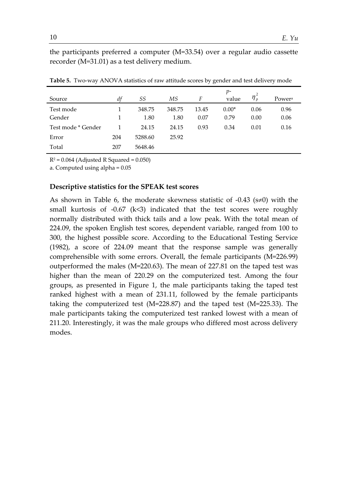the participants preferred a computer (M=33.54) over a regular audio cassette recorder (M=31.01) as a test delivery medium.

| Source             | df  | SS      | МS     | F     | р-<br>value | $\eta_{p}$ | Power <sup>a</sup> |
|--------------------|-----|---------|--------|-------|-------------|------------|--------------------|
| Test mode          |     | 348.75  | 348.75 | 13.45 | $0.00*$     | 0.06       | 0.96               |
| Gender             | 1   | 1.80    | 1.80   | 0.07  | 0.79        | 0.00       | 0.06               |
| Test mode * Gender |     | 24.15   | 24.15  | 0.93  | 0.34        | 0.01       | 0.16               |
| Error              | 204 | 5288.60 | 25.92  |       |             |            |                    |
| Total              | 207 | 5648.46 |        |       |             |            |                    |

**Table 5.** Two-way ANOVA statistics of raw attitude scores by gender and test delivery mode

 $R^2 = 0.064$  (Adjusted R Squared = 0.050)

a. Computed using alpha = 0.05

#### **Descriptive statistics for the SPEAK test scores**

As shown in Table 6, the moderate skewness statistic of  $-0.43$  (s $\neq$ 0) with the small kurtosis of  $-0.67$  (k<3) indicated that the test scores were roughly normally distributed with thick tails and a low peak. With the total mean of 224.09, the spoken English test scores, dependent variable, ranged from 100 to 300, the highest possible score. According to the Educational Testing Service (1982), a score of 224.09 meant that the response sample was generally comprehensible with some errors. Overall, the female participants (M=226.99) outperformed the males (M=220.63). The mean of 227.81 on the taped test was higher than the mean of 220.29 on the computerized test. Among the four groups, as presented in Figure 1, the male participants taking the taped test ranked highest with a mean of 231.11, followed by the female participants taking the computerized test (M=228.87) and the taped test (M=225.33). The male participants taking the computerized test ranked lowest with a mean of 211.20. Interestingly, it was the male groups who differed most across delivery modes.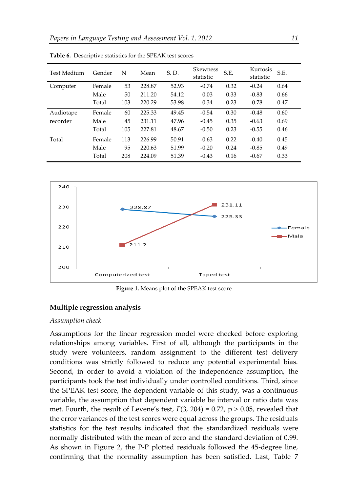| Test Medium | Gender | N   | Mean   | S.D.  | <b>Skewness</b><br>statistic | S.E. | Kurtosis<br>statistic | S.E. |
|-------------|--------|-----|--------|-------|------------------------------|------|-----------------------|------|
| Computer    | Female | 53  | 228.87 | 52.93 | $-0.74$                      | 0.32 | $-0.24$               | 0.64 |
|             | Male   | 50  | 211.20 | 54.12 | 0.03                         | 0.33 | $-0.83$               | 0.66 |
|             | Total  | 103 | 220.29 | 53.98 | $-0.34$                      | 0.23 | $-0.78$               | 0.47 |
| Audiotape   | Female | 60  | 225.33 | 49.45 | $-0.54$                      | 0.30 | $-0.48$               | 0.60 |
| recorder    | Male   | 45  | 231.11 | 47.96 | $-0.45$                      | 0.35 | $-0.63$               | 0.69 |
|             | Total  | 105 | 227.81 | 48.67 | $-0.50$                      | 0.23 | $-0.55$               | 0.46 |
| Total       | Female | 113 | 226.99 | 50.91 | $-0.63$                      | 0.22 | $-0.40$               | 0.45 |
|             | Male   | 95  | 220.63 | 51.99 | $-0.20$                      | 0.24 | $-0.85$               | 0.49 |
|             | Total  | 208 | 224.09 | 51.39 | $-0.43$                      | 0.16 | $-0.67$               | 0.33 |

**Table 6.** Descriptive statistics for the SPEAK test scores



**Figure 1.** Means plot of the SPEAK test score

### **Multiple regression analysis**

#### *Assumption check*

Assumptions for the linear regression model were checked before exploring relationships among variables. First of all, although the participants in the study were volunteers, random assignment to the different test delivery conditions was strictly followed to reduce any potential experimental bias. Second, in order to avoid a violation of the independence assumption, the participants took the test individually under controlled conditions. Third, since the SPEAK test score, the dependent variable of this study, was a continuous variable, the assumption that dependent variable be interval or ratio data was met. Fourth, the result of Levene's test,  $F(3, 204) = 0.72$ ,  $p > 0.05$ , revealed that the error variances of the test scores were equal across the groups. The residuals statistics for the test results indicated that the standardized residuals were normally distributed with the mean of zero and the standard deviation of 0.99. As shown in Figure 2, the P-P plotted residuals followed the 45-degree line, confirming that the normality assumption has been satisfied. Last, Table 7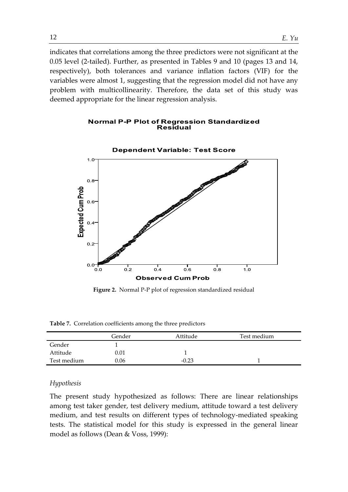indicates that correlations among the three predictors were not significant at the 0.05 level (2-tailed). Further, as presented in Tables 9 and 10 (pages 13 and 14, respectively), both tolerances and variance inflation factors (VIF) for the variables were almost 1, suggesting that the regression model did not have any problem with multicollinearity. Therefore, the data set of this study was deemed appropriate for the linear regression analysis.

#### **Normal P-P Plot of Regression Standardized Residual**



**Figure 2.** Normal P-P plot of regression standardized residual

|             | Gender   | Attitude | Test medium |  |
|-------------|----------|----------|-------------|--|
| Gender      |          |          |             |  |
| Attitude    | $0.01\,$ |          |             |  |
| Test medium | 0.06     | $-0.23$  |             |  |

#### *Hypothesis*

The present study hypothesized as follows: There are linear relationships among test taker gender, test delivery medium, attitude toward a test delivery medium, and test results on different types of technology-mediated speaking tests. The statistical model for this study is expressed in the general linear model as follows (Dean & Voss, 1999):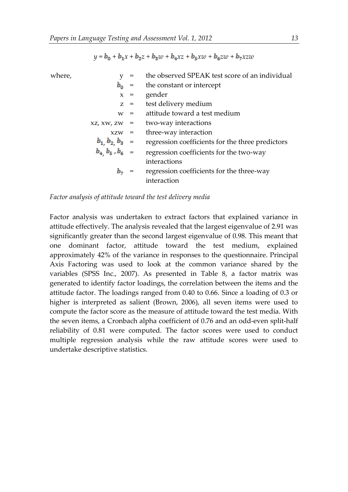$$
y = b_0 + b_1 x + b_2 z + b_3 w + b_4 x z + b_5 x w + b_6 z w + b_7 x z w
$$

| where, |                       |       | the observed SPEAK test score of an individual   |
|--------|-----------------------|-------|--------------------------------------------------|
|        | $b_0 =$               |       | the constant or intercept                        |
|        | $x =$                 |       | gender                                           |
|        |                       | $Z =$ | test delivery medium                             |
|        | $W =$                 |       | attitude toward a test medium                    |
|        | $XZ$ , $XW$ , $ZW =$  |       | two-way interactions                             |
|        | $XZW =$               |       | three-way interaction                            |
|        | $b_1$ $b_2$ $b_3$ =   |       | regression coefficients for the three predictors |
|        | $b_4$ $b_5$ , $b_6$ = |       | regression coefficients for the two-way          |
|        |                       |       | interactions                                     |
|        |                       |       | regression coefficients for the three-way        |
|        |                       |       | interaction                                      |

#### *Factor analysis of attitude toward the test delivery media*

Factor analysis was undertaken to extract factors that explained variance in attitude effectively. The analysis revealed that the largest eigenvalue of 2.91 was significantly greater than the second largest eigenvalue of 0.98. This meant that one dominant factor, attitude toward the test medium, explained approximately 42% of the variance in responses to the questionnaire. Principal Axis Factoring was used to look at the common variance shared by the variables (SPSS Inc., 2007). As presented in Table 8, a factor matrix was generated to identify factor loadings, the correlation between the items and the attitude factor. The loadings ranged from 0.40 to 0.66. Since a loading of 0.3 or higher is interpreted as salient (Brown, 2006), all seven items were used to compute the factor score as the measure of attitude toward the test media. With the seven items, a Cronbach alpha coefficient of 0.76 and an odd-even split-half reliability of 0.81 were computed. The factor scores were used to conduct multiple regression analysis while the raw attitude scores were used to undertake descriptive statistics.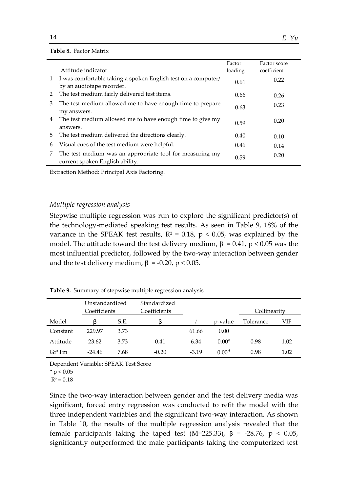#### **Table 8.** Factor Matrix

|              | Attitude indicator                                                                          | Factor<br>loading | Factor score<br>coefficient |
|--------------|---------------------------------------------------------------------------------------------|-------------------|-----------------------------|
| $\mathbf{1}$ | I was comfortable taking a spoken English test on a computer/<br>by an audiotape recorder.  | 0.61              | 0.22                        |
| 2            | The test medium fairly delivered test items.                                                | 0.66              | 0.26                        |
| 3            | The test medium allowed me to have enough time to prepare<br>my answers.                    | 0.63              | 0.23                        |
| 4            | The test medium allowed me to have enough time to give my<br>answers.                       | 0.59              | 0.20                        |
| 5.           | The test medium delivered the directions clearly.                                           | 0.40              | 0.10                        |
| 6            | Visual cues of the test medium were helpful.                                                | 0.46              | 0.14                        |
| 7            | The test medium was an appropriate tool for measuring my<br>current spoken English ability. | 0.59              | 0.20                        |

Extraction Method: Principal Axis Factoring.

#### *Multiple regression analysis*

Stepwise multiple regression was run to explore the significant predictor(s) of the technology-mediated speaking test results. As seen in Table 9, 18% of the variance in the SPEAK test results,  $R^2 = 0.18$ ,  $p < 0.05$ , was explained by the model. The attitude toward the test delivery medium,  $β = 0.41$ ,  $p < 0.05$  was the most influential predictor, followed by the two-way interaction between gender and the test delivery medium,  $β = -0.20$ ,  $p < 0.05$ .

**Table 9.** Summary of stepwise multiple regression analysis

|          | Unstandardized<br>Coefficients |      | Standardized<br>Coefficients |         |         | Collinearity |      |  |
|----------|--------------------------------|------|------------------------------|---------|---------|--------------|------|--|
| Model    |                                | S.E. |                              |         | p-value | Tolerance    | VIF  |  |
| Constant | 229.97                         | 3.73 |                              | 61.66   | 0.00    |              |      |  |
| Attitude | 23.62                          | 3.73 | 0.41                         | 6.34    | $0.00*$ | 0.98         | 1.02 |  |
| $Gr^*Tm$ | $-24.46$                       | 7.68 | $-0.20$                      | $-3.19$ | $0.00*$ | 0.98         | 1.02 |  |

Dependent Variable: SPEAK Test Score

 $*$  p < 0.05

 $R^2 = 0.18$ 

Since the two-way interaction between gender and the test delivery media was significant, forced entry regression was conducted to refit the model with the three independent variables and the significant two-way interaction. As shown in Table 10, the results of the multiple regression analysis revealed that the female participants taking the taped test (M=225.33), β = -28.76, p < 0.05, significantly outperformed the male participants taking the computerized test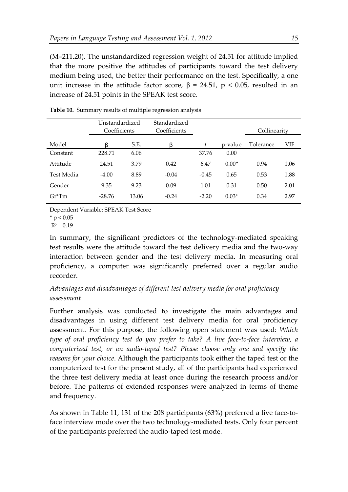(M=211.20). The unstandardized regression weight of 24.51 for attitude implied that the more positive the attitudes of participants toward the test delivery medium being used, the better their performance on the test. Specifically, a one unit increase in the attitude factor score,  $β = 24.51$ ,  $p < 0.05$ , resulted in an increase of 24.51 points in the SPEAK test score.

|            | Unstandardized<br>Coefficients |       | Standardized<br>Coefficients |         |         | Collinearity |      |
|------------|--------------------------------|-------|------------------------------|---------|---------|--------------|------|
| Model      | ß                              | S.E.  | β                            | t       | p-value | Tolerance    | VIF  |
| Constant   | 228.71                         | 6.06  |                              | 37.76   | 0.00    |              |      |
| Attitude   | 24.51                          | 3.79  | 0.42                         | 6.47    | $0.00*$ | 0.94         | 1.06 |
| Test Media | $-4.00$                        | 8.89  | $-0.04$                      | $-0.45$ | 0.65    | 0.53         | 1.88 |
| Gender     | 9.35                           | 9.23  | 0.09                         | 1.01    | 0.31    | 0.50         | 2.01 |
| $Gr^*Tm$   | $-28.76$                       | 13.06 | $-0.24$                      | $-2.20$ | $0.03*$ | 0.34         | 2.97 |

**Table 10.** Summary results of multiple regression analysis

Dependent Variable: SPEAK Test Score

 $*$  p < 0.05

 $R^2 = 0.19$ 

In summary, the significant predictors of the technology-mediated speaking test results were the attitude toward the test delivery media and the two-way interaction between gender and the test delivery media. In measuring oral proficiency, a computer was significantly preferred over a regular audio recorder.

*Advantages and disadvantages of different test delivery media for oral proficiency assessment*

Further analysis was conducted to investigate the main advantages and disadvantages in using different test delivery media for oral proficiency assessment. For this purpose, the following open statement was used: *Which type of oral proficiency test do you prefer to take? A live face-to-face interview, a computerized test, or an audio-taped test? Please choose only one and specify the reasons for your choice*. Although the participants took either the taped test or the computerized test for the present study, all of the participants had experienced the three test delivery media at least once during the research process and/or before. The patterns of extended responses were analyzed in terms of theme and frequency.

As shown in Table 11, 131 of the 208 participants (63%) preferred a live face-toface interview mode over the two technology-mediated tests. Only four percent of the participants preferred the audio-taped test mode.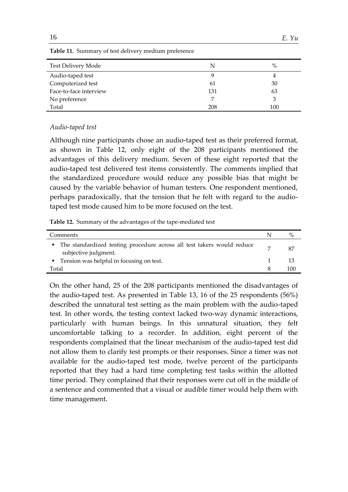| Test Delivery Mode     | N   | $\%$ |
|------------------------|-----|------|
| Audio-taped test       | 9   | 4    |
| Computerized test      | 61  | 30   |
| Face-to-face interview | 131 | 63   |
| No preference          | 7   | З    |
| Total                  | 208 | 100  |

**Table 11.** Summary of test delivery medium preference

### *Audio-taped test*

Although nine participants chose an audio-taped test as their preferred format, as shown in Table 12, only eight of the 208 participants mentioned the advantages of this delivery medium. Seven of these eight reported that the audio-taped test delivered test items consistently. The comments implied that the standardized procedure would reduce any possible bias that might be caused by the variable behavior of human testers. One respondent mentioned, perhaps paradoxically, that the tension that he felt with regard to the audiotaped test mode caused him to be more focused on the test.

**Table 12.** Summary of the advantages of the tape-mediated test

| Comments                                                                                         | $\%$ |
|--------------------------------------------------------------------------------------------------|------|
| • The standardized testing procedure across all test takers would reduce<br>subjective judgment. | 87   |
| • Tension was helpful in focusing on test.                                                       |      |
| Total                                                                                            | 100  |

On the other hand, 25 of the 208 participants mentioned the disadvantages of the audio-taped test. As presented in Table 13, 16 of the 25 respondents (56%) described the unnatural test setting as the main problem with the audio-taped test. In other words, the testing context lacked two-way dynamic interactions, particularly with human beings. In this unnatural situation, they felt uncomfortable talking to a recorder. In addition, eight percent of the respondents complained that the linear mechanism of the audio-taped test did not allow them to clarify test prompts or their responses. Since a timer was not available for the audio-taped test mode, twelve percent of the participants reported that they had a hard time completing test tasks within the allotted time period. They complained that their responses were cut off in the middle of a sentence and commented that a visual or audible timer would help them with time management.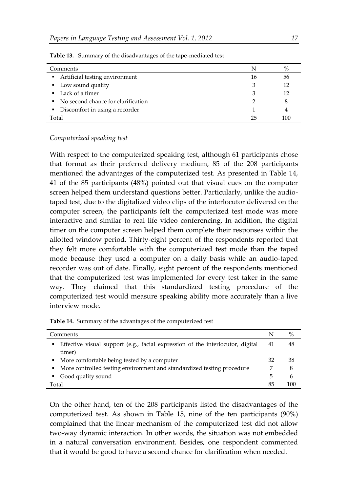| Comments                             | N  | $\%$ |
|--------------------------------------|----|------|
| Artificial testing environment       | 16 | 56   |
| • Low sound quality                  | З  | 12   |
| $\blacksquare$ Lack of a timer       | З  | 12   |
| • No second chance for clarification |    | 8    |
| • Discomfort in using a recorder     |    | 4    |
| Total                                |    | 100  |

**Table 13.** Summary of the disadvantages of the tape-mediated test

#### *Computerized speaking test*

With respect to the computerized speaking test, although 61 participants chose that format as their preferred delivery medium, 85 of the 208 participants mentioned the advantages of the computerized test. As presented in Table 14, 41 of the 85 participants (48%) pointed out that visual cues on the computer screen helped them understand questions better. Particularly, unlike the audiotaped test, due to the digitalized video clips of the interlocutor delivered on the computer screen, the participants felt the computerized test mode was more interactive and similar to real life video conferencing. In addition, the digital timer on the computer screen helped them complete their responses within the allotted window period. Thirty-eight percent of the respondents reported that they felt more comfortable with the computerized test mode than the taped mode because they used a computer on a daily basis while an audio-taped recorder was out of date. Finally, eight percent of the respondents mentioned that the computerized test was implemented for every test taker in the same way. They claimed that this standardized testing procedure of the computerized test would measure speaking ability more accurately than a live interview mode.

**Table 14.** Summary of the advantages of the computerized test

| Comments                                                                                       |    |     |  |
|------------------------------------------------------------------------------------------------|----|-----|--|
| Effective visual support (e.g., facial expression of the interlocutor, digital<br>л.<br>timer) | 41 | 48  |  |
| • More comfortable being tested by a computer                                                  | 32 | 38  |  |
| More controlled testing environment and standardized testing procedure<br>$\blacksquare$       |    | 8   |  |
| Good quality sound<br>$\blacksquare$                                                           | 5  | 6   |  |
| Total                                                                                          | 85 | 100 |  |

On the other hand, ten of the 208 participants listed the disadvantages of the computerized test. As shown in Table 15, nine of the ten participants (90%) complained that the linear mechanism of the computerized test did not allow two-way dynamic interaction. In other words, the situation was not embedded in a natural conversation environment. Besides, one respondent commented that it would be good to have a second chance for clarification when needed.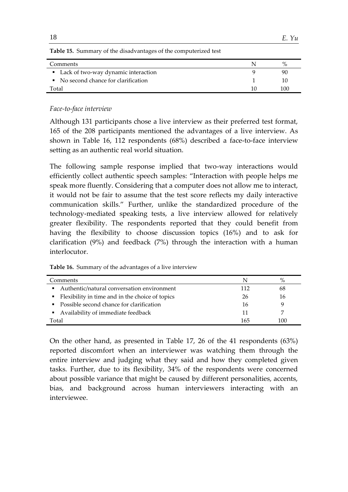| <b>Table 15.</b> Summary of the disadvantages of the computerized test |  |     |  |  |
|------------------------------------------------------------------------|--|-----|--|--|
| Comments                                                               |  |     |  |  |
| • Lack of two-way dynamic interaction                                  |  | 90  |  |  |
| • No second chance for clarification                                   |  | 10  |  |  |
| Total                                                                  |  | 100 |  |  |

### *Face-to-face interview*

Although 131 participants chose a live interview as their preferred test format, 165 of the 208 participants mentioned the advantages of a live interview. As shown in Table 16, 112 respondents (68%) described a face-to-face interview setting as an authentic real world situation.

The following sample response implied that two-way interactions would efficiently collect authentic speech samples: "Interaction with people helps me speak more fluently. Considering that a computer does not allow me to interact, it would not be fair to assume that the test score reflects my daily interactive communication skills." Further, unlike the standardized procedure of the technology-mediated speaking tests, a live interview allowed for relatively greater flexibility. The respondents reported that they could benefit from having the flexibility to choose discussion topics (16%) and to ask for clarification (9%) and feedback (7%) through the interaction with a human interlocutor.

| Comments                                          | N   | $\%$ |
|---------------------------------------------------|-----|------|
| • Authentic/natural conversation environment      | 112 | 68   |
| • Flexibility in time and in the choice of topics | 26  | 16   |
| • Possible second chance for clarification        | 16  |      |
| • Availability of immediate feedback              | 11  |      |
| Total                                             | 165 | 100  |

On the other hand, as presented in Table 17, 26 of the 41 respondents (63%) reported discomfort when an interviewer was watching them through the entire interview and judging what they said and how they completed given tasks. Further, due to its flexibility, 34% of the respondents were concerned about possible variance that might be caused by different personalities, accents, bias, and background across human interviewers interacting with an interviewee.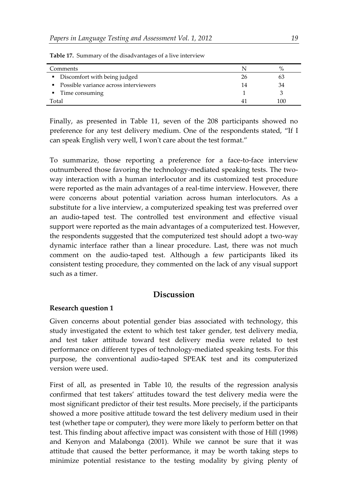| Comments                                |    |     |
|-----------------------------------------|----|-----|
| • Discomfort with being judged          | 26 |     |
| • Possible variance across interviewers | 14 |     |
| Time consuming<br>$\blacksquare$        |    |     |
| Total                                   |    | 100 |

**Table 17.** Summary of the disadvantages of a live interview

Finally, as presented in Table 11, seven of the 208 participants showed no preference for any test delivery medium. One of the respondents stated, "If I can speak English very well, I won't care about the test format."

To summarize, those reporting a preference for a face-to-face interview outnumbered those favoring the technology-mediated speaking tests. The twoway interaction with a human interlocutor and its customized test procedure were reported as the main advantages of a real-time interview. However, there were concerns about potential variation across human interlocutors. As a substitute for a live interview, a computerized speaking test was preferred over an audio-taped test. The controlled test environment and effective visual support were reported as the main advantages of a computerized test. However, the respondents suggested that the computerized test should adopt a two-way dynamic interface rather than a linear procedure. Last, there was not much comment on the audio-taped test. Although a few participants liked its consistent testing procedure, they commented on the lack of any visual support such as a timer.

# **Discussion**

#### **Research question 1**

Given concerns about potential gender bias associated with technology, this study investigated the extent to which test taker gender, test delivery media, and test taker attitude toward test delivery media were related to test performance on different types of technology-mediated speaking tests. For this purpose, the conventional audio-taped SPEAK test and its computerized version were used.

First of all, as presented in Table 10, the results of the regression analysis confirmed that test takers' attitudes toward the test delivery media were the most significant predictor of their test results. More precisely, if the participants showed a more positive attitude toward the test delivery medium used in their test (whether tape or computer), they were more likely to perform better on that test. This finding about affective impact was consistent with those of Hill (1998) and Kenyon and Malabonga (2001). While we cannot be sure that it was attitude that caused the better performance, it may be worth taking steps to minimize potential resistance to the testing modality by giving plenty of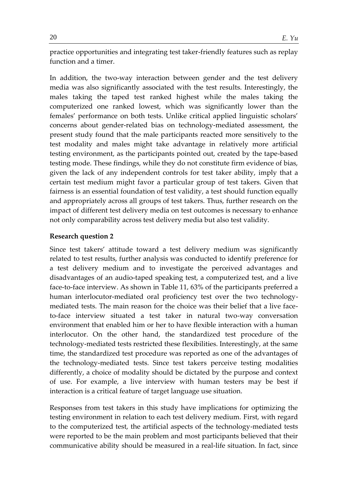practice opportunities and integrating test taker-friendly features such as replay function and a timer.

In addition, the two-way interaction between gender and the test delivery media was also significantly associated with the test results. Interestingly, the males taking the taped test ranked highest while the males taking the computerized one ranked lowest, which was significantly lower than the females' performance on both tests. Unlike critical applied linguistic scholars' concerns about gender-related bias on technology-mediated assessment, the present study found that the male participants reacted more sensitively to the test modality and males might take advantage in relatively more artificial testing environment, as the participants pointed out, created by the tape-based testing mode. These findings, while they do not constitute firm evidence of bias, given the lack of any independent controls for test taker ability, imply that a certain test medium might favor a particular group of test takers. Given that fairness is an essential foundation of test validity, a test should function equally and appropriately across all groups of test takers. Thus, further research on the impact of different test delivery media on test outcomes is necessary to enhance not only comparability across test delivery media but also test validity.

### **Research question 2**

Since test takers' attitude toward a test delivery medium was significantly related to test results, further analysis was conducted to identify preference for a test delivery medium and to investigate the perceived advantages and disadvantages of an audio-taped speaking test, a computerized test, and a live face-to-face interview. As shown in Table 11, 63% of the participants preferred a human interlocutor-mediated oral proficiency test over the two technologymediated tests. The main reason for the choice was their belief that a live faceto-face interview situated a test taker in natural two-way conversation environment that enabled him or her to have flexible interaction with a human interlocutor. On the other hand, the standardized test procedure of the technology-mediated tests restricted these flexibilities. Interestingly, at the same time, the standardized test procedure was reported as one of the advantages of the technology-mediated tests. Since test takers perceive testing modalities differently, a choice of modality should be dictated by the purpose and context of use. For example, a live interview with human testers may be best if interaction is a critical feature of target language use situation.

Responses from test takers in this study have implications for optimizing the testing environment in relation to each test delivery medium. First, with regard to the computerized test, the artificial aspects of the technology-mediated tests were reported to be the main problem and most participants believed that their communicative ability should be measured in a real-life situation. In fact, since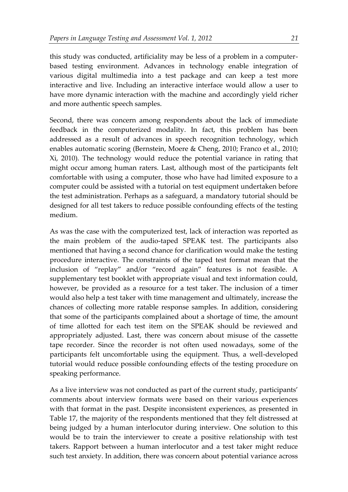this study was conducted, artificiality may be less of a problem in a computerbased testing environment. Advances in technology enable integration of various digital multimedia into a test package and can keep a test more interactive and live. Including an interactive interface would allow a user to have more dynamic interaction with the machine and accordingly yield richer and more authentic speech samples.

Second, there was concern among respondents about the lack of immediate feedback in the computerized modality. In fact, this problem has been addressed as a result of advances in speech recognition technology, which enables automatic scoring (Bernstein, Moere & Cheng, 2010; Franco et al., 2010; Xi, 2010). The technology would reduce the potential variance in rating that might occur among human raters. Last, although most of the participants felt comfortable with using a computer, those who have had limited exposure to a computer could be assisted with a tutorial on test equipment undertaken before the test administration. Perhaps as a safeguard, a mandatory tutorial should be designed for all test takers to reduce possible confounding effects of the testing medium.

As was the case with the computerized test, lack of interaction was reported as the main problem of the audio-taped SPEAK test. The participants also mentioned that having a second chance for clarification would make the testing procedure interactive. The constraints of the taped test format mean that the inclusion of "replay" and/or "record again" features is not feasible. A supplementary test booklet with appropriate visual and text information could, however, be provided as a resource for a test taker. The inclusion of a timer would also help a test taker with time management and ultimately, increase the chances of collecting more ratable response samples. In addition, considering that some of the participants complained about a shortage of time, the amount of time allotted for each test item on the SPEAK should be reviewed and appropriately adjusted. Last, there was concern about misuse of the cassette tape recorder. Since the recorder is not often used nowadays, some of the participants felt uncomfortable using the equipment. Thus, a well-developed tutorial would reduce possible confounding effects of the testing procedure on speaking performance.

As a live interview was not conducted as part of the current study, participants' comments about interview formats were based on their various experiences with that format in the past. Despite inconsistent experiences, as presented in Table 17, the majority of the respondents mentioned that they felt distressed at being judged by a human interlocutor during interview. One solution to this would be to train the interviewer to create a positive relationship with test takers. Rapport between a human interlocutor and a test taker might reduce such test anxiety. In addition, there was concern about potential variance across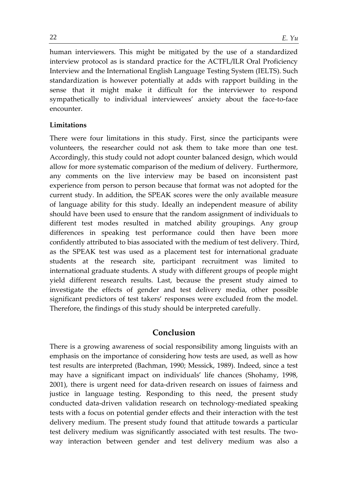human interviewers. This might be mitigated by the use of a standardized interview protocol as is standard practice for the ACTFL/ILR Oral Proficiency Interview and the International English Language Testing System (IELTS). Such standardization is however potentially at adds with rapport building in the sense that it might make it difficult for the interviewer to respond sympathetically to individual interviewees' anxiety about the face-to-face encounter.

### **Limitations**

There were four limitations in this study. First, since the participants were volunteers, the researcher could not ask them to take more than one test. Accordingly, this study could not adopt counter balanced design, which would allow for more systematic comparison of the medium of delivery. Furthermore, any comments on the live interview may be based on inconsistent past experience from person to person because that format was not adopted for the current study. In addition, the SPEAK scores were the only available measure of language ability for this study. Ideally an independent measure of ability should have been used to ensure that the random assignment of individuals to different test modes resulted in matched ability groupings. Any group differences in speaking test performance could then have been more confidently attributed to bias associated with the medium of test delivery. Third, as the SPEAK test was used as a placement test for international graduate students at the research site, participant recruitment was limited to international graduate students. A study with different groups of people might yield different research results. Last, because the present study aimed to investigate the effects of gender and test delivery media, other possible significant predictors of test takers' responses were excluded from the model. Therefore, the findings of this study should be interpreted carefully.

# **Conclusion**

There is a growing awareness of social responsibility among linguists with an emphasis on the importance of considering how tests are used, as well as how test results are interpreted (Bachman, 1990; Messick, 1989). Indeed, since a test may have a significant impact on individuals' life chances (Shohamy, 1998, 2001), there is urgent need for data-driven research on issues of fairness and justice in language testing. Responding to this need, the present study conducted data-driven validation research on technology-mediated speaking tests with a focus on potential gender effects and their interaction with the test delivery medium. The present study found that attitude towards a particular test delivery medium was significantly associated with test results. The twoway interaction between gender and test delivery medium was also a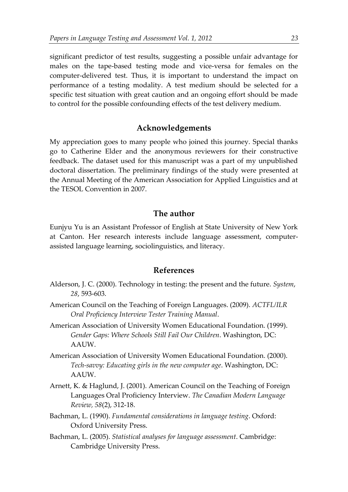significant predictor of test results, suggesting a possible unfair advantage for males on the tape-based testing mode and vice-versa for females on the computer-delivered test. Thus, it is important to understand the impact on performance of a testing modality. A test medium should be selected for a specific test situation with great caution and an ongoing effort should be made to control for the possible confounding effects of the test delivery medium.

# **Acknowledgements**

My appreciation goes to many people who joined this journey. Special thanks go to Catherine Elder and the anonymous reviewers for their constructive feedback. The dataset used for this manuscript was a part of my unpublished doctoral dissertation. The preliminary findings of the study were presented at the Annual Meeting of the American Association for Applied Linguistics and at the TESOL Convention in 2007.

# **The author**

Eunjyu Yu is an Assistant Professor of English at State University of New York at Canton. Her research interests include language assessment, computerassisted language learning, sociolinguistics, and literacy.

### **References**

- Alderson, J. C. (2000). Technology in testing: the present and the future. *System*, *28*, 593-603.
- American Council on the Teaching of Foreign Languages. (2009). *ACTFL/ILR Oral Proficiency Interview Tester Training Manual*.
- American Association of University Women Educational Foundation. (1999). *Gender Gaps: Where Schools Still Fail Our Children*. Washington, DC: AAUW.
- American Association of University Women Educational Foundation. (2000). *Tech-savvy: Educating girls in the new computer age*. Washington, DC: AAUW.
- Arnett, K. & Haglund, J. (2001). American Council on the Teaching of Foreign Languages Oral Proficiency Interview. *The Canadian Modern Language Review, 58*(2), 312-18.
- Bachman, L. (1990). *Fundamental considerations in language testing*. Oxford: Oxford University Press.
- Bachman, L. (2005). *Statistical analyses for language assessment*. Cambridge: Cambridge University Press.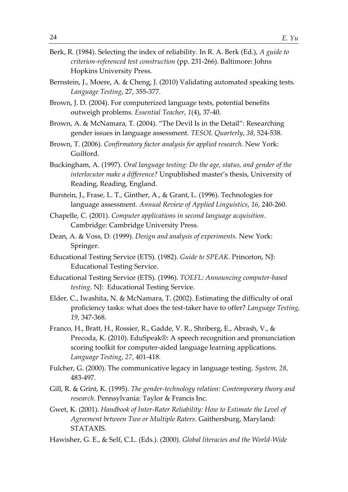- Berk, R. (1984). Selecting the index of reliability. In R. A. Berk (Ed.), *A guide to criterion-referenced test construction* (pp. 231-266). Baltimore: Johns Hopkins University Press.
- Bernstein, J., Moere, A. & Cheng, J. (2010) Validating automated speaking tests. *Language Testing*, 27, 355-377.
- Brown, J. D. (2004). For computerized language tests, potential benefits outweigh problems. *Essential Teacher*, *1*(4), 37-40.
- Brown, A. & McNamara, T. (2004). "The Devil Is in the Detail": Researching gender issues in language assessment. *TESOL Quarterly*, *38*, 524-538.
- Brown, T. (2006). *Confirmatory factor analysis for applied research*. New York: Guilford.
- Buckingham, A. (1997). *Oral language testing: Do the age, status, and gender of the interlocutor make a difference?* Unpublished master's thesis, University of Reading, Reading, England.
- Burstein, J., Frase, L. T., Ginther, A., & Grant, L. (1996). Technologies for language assessment. *Annual Review of Applied Linguistics*, *16*, 240-260.
- Chapelle, C. (2001). *Computer applications in second language acquisition*. Cambridge: Cambridge University Press.
- Dean, A. & Voss, D. (1999). *Design and analysis of experiments*. New York: Springer.
- Educational Testing Service (ETS). (1982). *Guide to SPEAK*. Princeton, NJ: Educational Testing Service.
- Educational Testing Service (ETS). (1996). *TOEFL: Announcing computer-based testing*. NJ: Educational Testing Service.
- Elder, C., Iwashita, N. & McNamara, T. (2002). Estimating the difficulty of oral proficiency tasks: what does the test-taker have to offer? *Language Testing*, *19*, 347-368.
- Franco, H., Bratt, H., Rossier, R., Gadde, V. R., Shriberg, E., Abrash, V., & Precoda, K. (2010). EduSpeak®: A speech recognition and pronunciation scoring toolkit for computer-aided language learning applications. *Language Testing*, *27*, 401-418.
- Fulcher, G. (2000). The communicative legacy in language testing. *System, 28*, 483-497.
- Gill, R. & Grint, K. (1995). *The gender-technology relation: Contemporary theory and research*. Pennsylvania: Taylor & Francis Inc.
- Gwet, K. (2001). *Handbook of Inter-Rater Reliability: How to Estimate the Level of Agreement between Two or Multiple Raters*. Gaithersburg, Maryland: STATAXIS.
- Hawisher, G. E., & Self, C.L. (Eds.). (2000). *Global literacies and the World-Wide*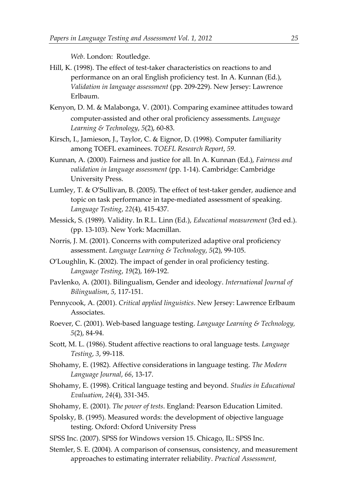*Web*. London: Routledge.

- Hill, K. (1998). The effect of test-taker characteristics on reactions to and performance on an oral English proficiency test. In A. Kunnan (Ed.), *Validation in language assessment* (pp. 209-229). New Jersey: Lawrence Erlbaum.
- Kenyon, D. M. & Malabonga, V. (2001). Comparing examinee attitudes toward computer-assisted and other oral proficiency assessments. *Language Learning & Technology*, *5*(2), 60-83.
- Kirsch, I., Jamieson, J., Taylor, C. & Eignor, D. (1998). Computer familiarity among TOEFL examinees. *TOEFL Research Report*, *59*.
- Kunnan, A. (2000). Fairness and justice for all. In A. Kunnan (Ed.), *Fairness and validation in language assessment* (pp. 1-14). Cambridge: Cambridge University Press.
- Lumley, T. & O'Sullivan, B. (2005). The effect of test-taker gender, audience and topic on task performance in tape-mediated assessment of speaking. *Language Testing*, *22*(4), 415-437.
- Messick, S. (1989). Validity. In R.L. Linn (Ed.), *Educational measurement* (3rd ed.). (pp. 13-103). New York: Macmillan.
- Norris, J. M. (2001). Concerns with computerized adaptive oral proficiency assessment. *Language Learning & Technology*, *5*(2), 99-105.
- O'Loughlin, K. (2002). The impact of gender in oral proficiency testing. *Language Testing*, *19*(2), 169-192.
- Pavlenko, A. (2001). Bilingualism, Gender and ideology. *International Journal of Bilingualism*, *5*, 117-151.
- Pennycook, A. (2001). *Critical applied linguistics*. New Jersey: Lawrence Erlbaum Associates.
- Roever, C. (2001). Web-based language testing. *Language Learning & Technology, 5*(2), 84-94.
- Scott, M. L. (1986). Student affective reactions to oral language tests. *Language Testing*, *3*, 99-118.
- Shohamy, E. (1982). Affective considerations in language testing. *The Modern Language Journal*, *66*, 13-17.
- Shohamy, E. (1998). Critical language testing and beyond. *Studies in Educational Evaluation*, *24*(4), 331-345.
- Shohamy, E. (2001). *The power of tests*. England: Pearson Education Limited.
- Spolsky, B. (1995). Measured words: the development of objective language testing. Oxford: Oxford University Press
- SPSS Inc. (2007). SPSS for Windows version 15. Chicago, IL: SPSS Inc.
- Stemler, S. E. (2004). A comparison of consensus, consistency, and measurement approaches to estimating interrater reliability. *Practical Assessment,*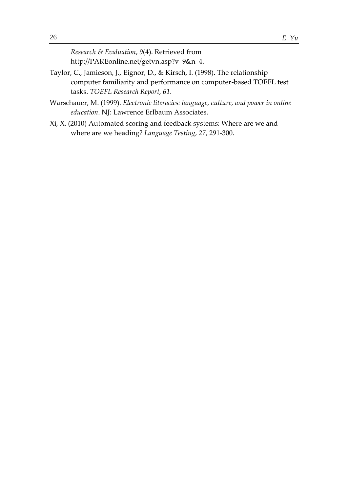*Research & Evaluation*, *9*(4). Retrieved from http://PAREonline.net/getvn.asp?v=9&n=4.

- Taylor, C., Jamieson, J., Eignor, D., & Kirsch, I. (1998). The relationship computer familiarity and performance on computer-based TOEFL test tasks. *TOEFL Research Report*, *61*.
- Warschauer, M. (1999). *Electronic literacies: language, culture, and power in online education*. NJ: Lawrence Erlbaum Associates.
- Xi, X. (2010) Automated scoring and feedback systems: Where are we and where are we heading? *Language Testing*, *27*, 291-300.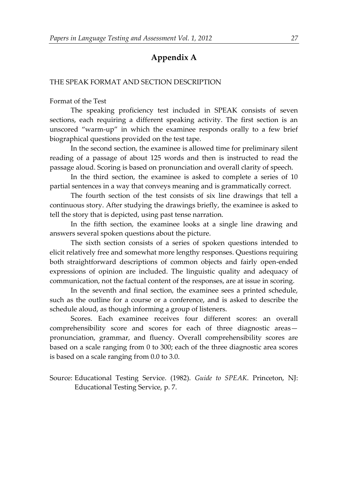# **Appendix A**

#### THE SPEAK FORMAT AND SECTION DESCRIPTION

Format of the Test

The speaking proficiency test included in SPEAK consists of seven sections, each requiring a different speaking activity. The first section is an unscored "warm-up" in which the examinee responds orally to a few brief biographical questions provided on the test tape.

In the second section, the examinee is allowed time for preliminary silent reading of a passage of about 125 words and then is instructed to read the passage aloud. Scoring is based on pronunciation and overall clarity of speech.

In the third section, the examinee is asked to complete a series of 10 partial sentences in a way that conveys meaning and is grammatically correct.

The fourth section of the test consists of six line drawings that tell a continuous story. After studying the drawings briefly, the examinee is asked to tell the story that is depicted, using past tense narration.

In the fifth section, the examinee looks at a single line drawing and answers several spoken questions about the picture.

The sixth section consists of a series of spoken questions intended to elicit relatively free and somewhat more lengthy responses. Questions requiring both straightforward descriptions of common objects and fairly open-ended expressions of opinion are included. The linguistic quality and adequacy of communication, not the factual content of the responses, are at issue in scoring.

In the seventh and final section, the examinee sees a printed schedule, such as the outline for a course or a conference, and is asked to describe the schedule aloud, as though informing a group of listeners.

Scores. Each examinee receives four different scores: an overall comprehensibility score and scores for each of three diagnostic areas pronunciation, grammar, and fluency. Overall comprehensibility scores are based on a scale ranging from 0 to 300; each of the three diagnostic area scores is based on a scale ranging from 0.0 to 3.0.

Source: Educational Testing Service. (1982). *Guide to SPEAK*. Princeton, NJ: Educational Testing Service, p. 7.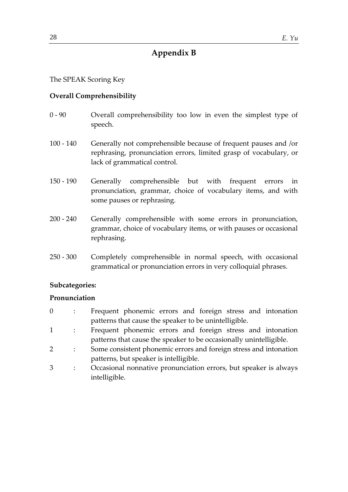# **Appendix B**

The SPEAK Scoring Key

### **Overall Comprehensibility**

- 0 90 Overall comprehensibility too low in even the simplest type of speech.
- 100 140 Generally not comprehensible because of frequent pauses and /or rephrasing, pronunciation errors, limited grasp of vocabulary, or lack of grammatical control.
- 150 190 Generally comprehensible but with frequent errors in pronunciation, grammar, choice of vocabulary items, and with some pauses or rephrasing.
- 200 240 Generally comprehensible with some errors in pronunciation, grammar, choice of vocabulary items, or with pauses or occasional rephrasing.
- 250 300 Completely comprehensible in normal speech, with occasional grammatical or pronunciation errors in very colloquial phrases.

### **Subcategories:**

### **Pronunciation**

- 0 : Frequent phonemic errors and foreign stress and intonation patterns that cause the speaker to be unintelligible.
- 1 : Frequent phonemic errors and foreign stress and intonation patterns that cause the speaker to be occasionally unintelligible.
- 2 : Some consistent phonemic errors and foreign stress and intonation patterns, but speaker is intelligible.
- 3 : Occasional nonnative pronunciation errors, but speaker is always intelligible.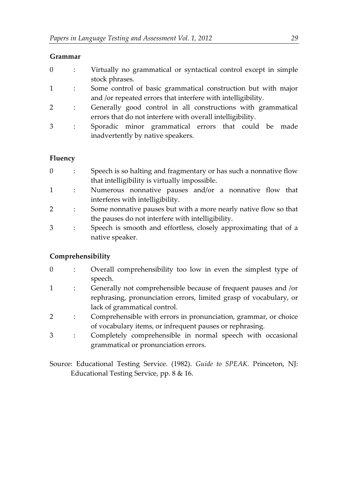# **Grammar**

|  | Virtually no grammatical or syntactical control except in simple |
|--|------------------------------------------------------------------|
|  | stock phrases.                                                   |

- 1 : Some control of basic grammatical construction but with major and /or repeated errors that interfere with intelligibility.
- 2 : Generally good control in all constructions with grammatical errors that do not interfere with overall intelligibility.
- 3 : Sporadic minor grammatical errors that could be made inadvertently by native speakers.

# **Fluency**

- 0 : Speech is so halting and fragmentary or has such a nonnative flow that intelligibility is virtually impossible.
- 1 : Numerous nonnative pauses and/or a nonnative flow that interferes with intelligibility.
- 2 : Some nonnative pauses but with a more nearly native flow so that the pauses do not interfere with intelligibility.
- 3 : Speech is smooth and effortless, closely approximating that of a native speaker.

# **Comprehensibility**

- 0 : Overall comprehensibility too low in even the simplest type of speech.
- 1 : Generally not comprehensible because of frequent pauses and /or rephrasing, pronunciation errors, limited grasp of vocabulary, or lack of grammatical control.
- 2 : Comprehensible with errors in pronunciation, grammar, or choice of vocabulary items, or infrequent pauses or rephrasing.
- 3 : Completely comprehensible in normal speech with occasional grammatical or pronunciation errors.
- Source: Educational Testing Service. (1982). *Guide to SPEAK*. Princeton, NJ: Educational Testing Service, pp. 8 & 16.